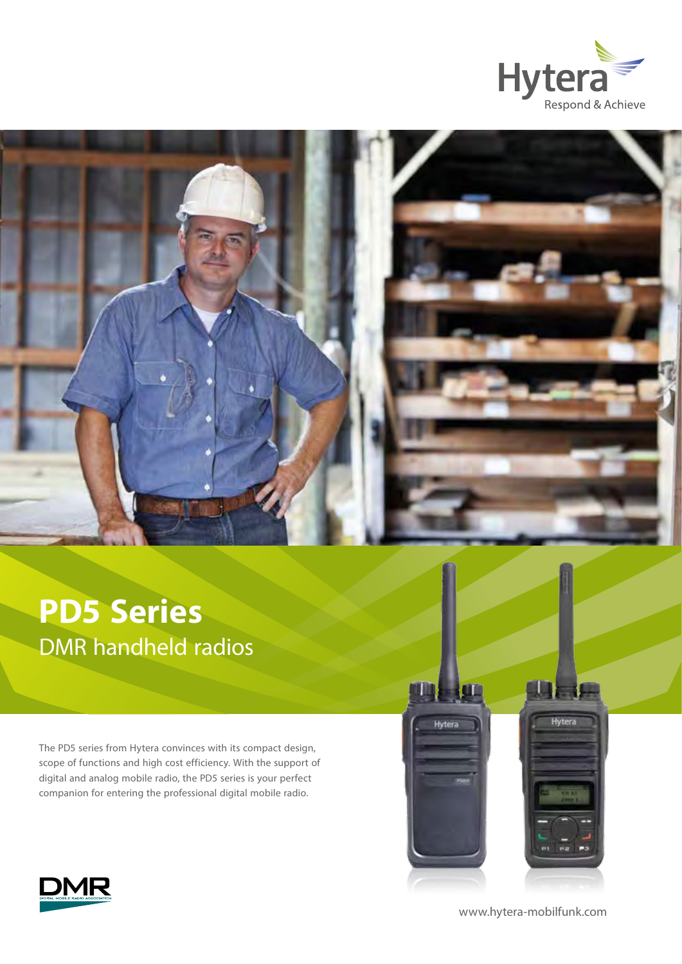



# **PD5 Series**  DMR handheld radios

The PD5 series from Hytera convinces with its compact design, scope of functions and high cost efficiency. With the support of digital and analog mobile radio, the PD5 series is your perfect companion for entering the professional digital mobile radio.





[www.hytera-mobilfunk.com](http://www.hytera-mobilfunk.com)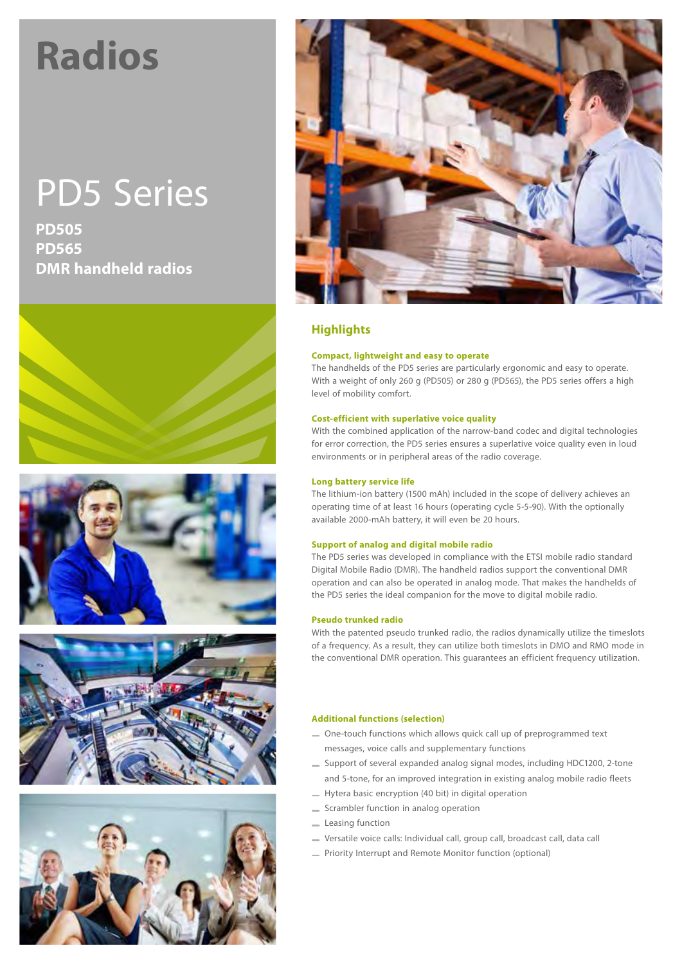# **Radios**

# PD5 Series

**PD505 PD565 DMR handheld radios**











## **Highlights**

#### **Compact, lightweight and easy to operate**

The handhelds of the PD5 series are particularly ergonomic and easy to operate. With a weight of only 260 g (PD505) or 280 g (PD565), the PD5 series offers a high level of mobility comfort.

#### **Cost-efficient with superlative voice quality**

With the combined application of the narrow-band codec and digital technologies for error correction, the PD5 series ensures a superlative voice quality even in loud environments or in peripheral areas of the radio coverage.

#### **Long battery service life**

The lithium-ion battery (1500 mAh) included in the scope of delivery achieves an operating time of at least 16 hours (operating cycle 5-5-90). With the optionally available 2000-mAh battery, it will even be 20 hours.

#### **Support of analog and digital mobile radio**

The PD5 series was developed in compliance with the ETSI mobile radio standard Digital Mobile Radio (DMR). The handheld radios support the conventional DMR operation and can also be operated in analog mode. That makes the handhelds of the PD5 series the ideal companion for the move to digital mobile radio.

#### **Pseudo trunked radio**

With the patented pseudo trunked radio, the radios dynamically utilize the timeslots of a frequency. As a result, they can utilize both timeslots in DMO and RMO mode in the conventional DMR operation. This guarantees an efficient frequency utilization.

#### **Additional functions (selection)**

- One-touch functions which allows quick call up of preprogrammed text messages, voice calls and supplementary functions
- Support of several expanded analog signal modes, including HDC1200, 2-tone and 5-tone, for an improved integration in existing analog mobile radio fleets
- Hytera basic encryption (40 bit) in digital operation
- Scrambler function in analog operation
- **Leasing function**
- Versatile voice calls: Individual call, group call, broadcast call, data call
- Priority Interrupt and Remote Monitor function (optional)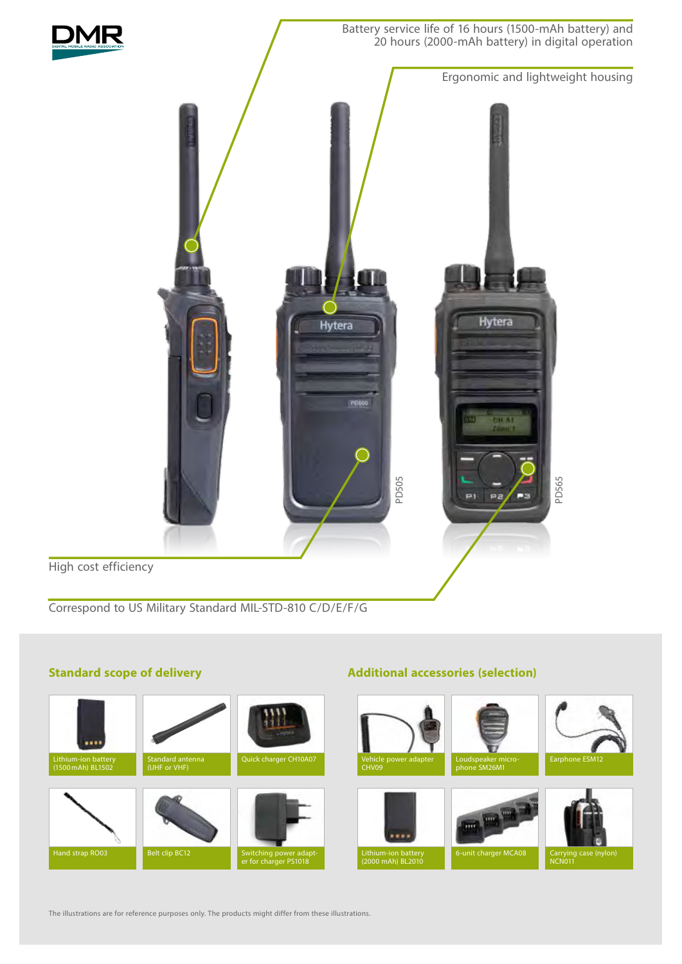

### **Standard scope of delivery**

# Lithium-ion battery (1500mAh) BL1502 Standard antenna (UHF or VHF) Hand strap RO03 Belt clip BC12 Switching power adapt-<br>
er for charger PS1018 Loudspeaker micro-<br> **Earphone ESM12** phone SM26M1 Vehicle power adapter CHV09 Carrying<br>NCN011 6-unit charger MCA08 Lithium-ion battery<br>(2000 mAh) BL2010

**Additional accessories (selection)**

The illustrations are for reference purposes only. The products might differ from these illustrations.